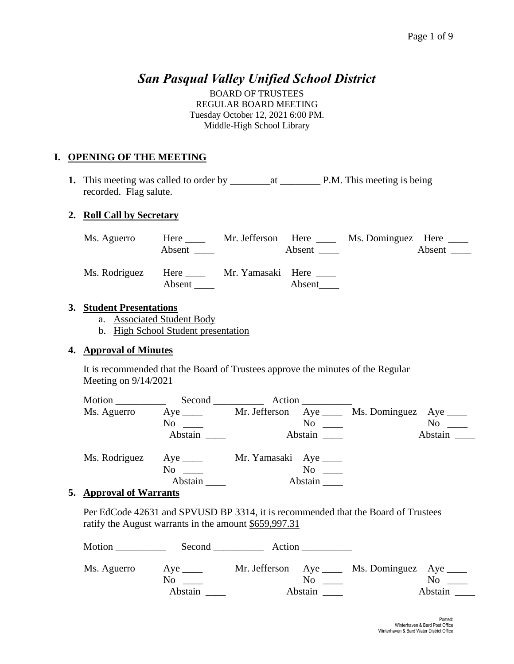# *San Pasqual Valley Unified School District*

BOARD OF TRUSTEES REGULAR BOARD MEETING Tuesday October 12, 2021 6:00 PM. Middle-High School Library

## **I. OPENING OF THE MEETING**

**1.** This meeting was called to order by \_\_\_\_\_\_\_\_at \_\_\_\_\_\_\_\_ P.M. This meeting is being recorded. Flag salute.

## **2. Roll Call by Secretary**

| Ms. Aguerro   | Here $\qquad \qquad$<br>Absent | Mr. Jefferson Here | Absent $\qquad \qquad$ | Ms. Dominguez Here _____ | Absent |
|---------------|--------------------------------|--------------------|------------------------|--------------------------|--------|
| Ms. Rodriguez | Here $\_\_$<br>Absent          | Mr. Yamasaki Here  | Absent                 |                          |        |

## **3. Student Presentations**

- a. Associated Student Body
- b. High School Student presentation

## **4. Approval of Minutes**

It is recommended that the Board of Trustees approve the minutes of the Regular Meeting on 9/14/2021

| Motion        | Second                  | Action                  |                         |
|---------------|-------------------------|-------------------------|-------------------------|
| Ms. Aguerro   | Aye $\_\_\_\_\_\_\$     | Mr. Jefferson Aye _____ | Ms. Dominguez Aye _____ |
|               | $\mathrm{No} \ \_\_\_\$ | $\mathrm{No}$ $\_\_$    | No                      |
|               | Abstain                 | Abstain                 | Abstain                 |
| Ms. Rodriguez | Aye $\_\_\_\_\_\$       | Mr. Yamasaki Aye ______ |                         |
|               | N <sub>0</sub>          | No                      |                         |
|               | Abstain                 | Abstain                 |                         |

## **5. Approval of Warrants**

Per EdCode 42631 and SPVUSD BP 3314, it is recommended that the Board of Trustees ratify the August warrants in the amount \$659,997.31

| Motion      | Second  | Action  |                                                      |
|-------------|---------|---------|------------------------------------------------------|
| Ms. Aguerro | No      | No.     | Mr. Jefferson Aye ____ Ms. Dominguez Aye ____<br>No. |
|             | Abstain | Abstain | Abstain                                              |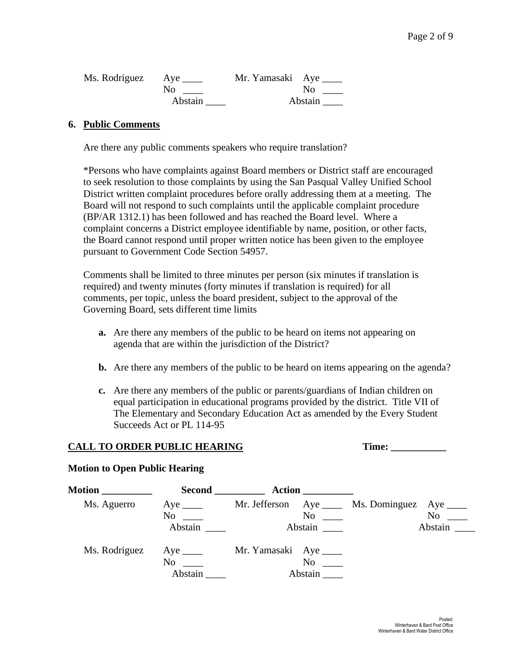| Ms. Rodriguez Aye |         | Mr. Yamasaki Aye |
|-------------------|---------|------------------|
|                   | No      | N <sub>0</sub>   |
|                   | Abstain | Abstain          |

#### **6. Public Comments**

Are there any public comments speakers who require translation?

\*Persons who have complaints against Board members or District staff are encouraged to seek resolution to those complaints by using the San Pasqual Valley Unified School District written complaint procedures before orally addressing them at a meeting. The Board will not respond to such complaints until the applicable complaint procedure (BP/AR 1312.1) has been followed and has reached the Board level. Where a complaint concerns a District employee identifiable by name, position, or other facts, the Board cannot respond until proper written notice has been given to the employee pursuant to Government Code Section 54957.

Comments shall be limited to three minutes per person (six minutes if translation is required) and twenty minutes (forty minutes if translation is required) for all comments, per topic, unless the board president, subject to the approval of the Governing Board, sets different time limits

- **a.** Are there any members of the public to be heard on items not appearing on agenda that are within the jurisdiction of the District?
- **b.** Are there any members of the public to be heard on items appearing on the agenda?
- **c.** Are there any members of the public or parents/guardians of Indian children on equal participation in educational programs provided by the district. Title VII of The Elementary and Secondary Education Act as amended by the Every Student Succeeds Act or PL 114-95

#### **CALL TO ORDER PUBLIC HEARING Time: \_\_\_\_\_\_\_\_\_\_\_**

#### **Motion to Open Public Hearing**

| <b>Motion</b> __________ | <b>Second</b>                    | <b>Action</b>                                  |                                                                |
|--------------------------|----------------------------------|------------------------------------------------|----------------------------------------------------------------|
| Ms. Aguerro              | Aye $\_\_$<br>$No \_$<br>Abstain | No<br>Abstain                                  | Mr. Jefferson Aye ____ Ms. Dominguez Aye ____<br>No<br>Abstain |
| Ms. Rodriguez            | Aye $\_\_$<br>No<br>Abstain      | Mr. Yamasaki Aye ______<br>$\rm No$<br>Abstain |                                                                |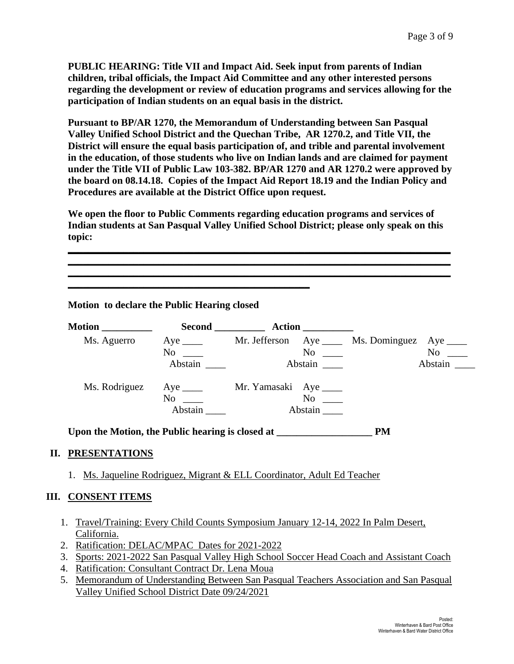**PUBLIC HEARING: Title VII and Impact Aid. Seek input from parents of Indian children, tribal officials, the Impact Aid Committee and any other interested persons regarding the development or review of education programs and services allowing for the participation of Indian students on an equal basis in the district.** 

**Pursuant to BP/AR 1270, the Memorandum of Understanding between San Pasqual Valley Unified School District and the Quechan Tribe, AR 1270.2, and Title VII, the District will ensure the equal basis participation of, and trible and parental involvement in the education, of those students who live on Indian lands and are claimed for payment under the Title VII of Public Law 103-382. BP/AR 1270 and AR 1270.2 were approved by the board on 08.14.18. Copies of the Impact Aid Report 18.19 and the Indian Policy and Procedures are available at the District Office upon request.** 

**We open the floor to Public Comments regarding education programs and services of Indian students at San Pasqual Valley Unified School District; please only speak on this topic:**

**\_\_\_\_\_\_\_\_\_\_\_\_\_\_\_\_\_\_\_\_\_\_\_\_\_\_\_\_\_\_\_\_\_\_\_\_\_\_\_\_\_\_\_\_\_\_\_\_\_\_\_\_\_\_\_\_\_\_\_\_\_\_\_\_\_\_\_\_\_\_\_\_\_\_\_\_ \_\_\_\_\_\_\_\_\_\_\_\_\_\_\_\_\_\_\_\_\_\_\_\_\_\_\_\_\_\_\_\_\_\_\_\_\_\_\_\_\_\_\_\_\_\_\_\_\_\_\_\_\_\_\_\_\_\_\_\_\_\_\_\_\_\_\_\_\_\_\_\_\_\_\_\_ \_\_\_\_\_\_\_\_\_\_\_\_\_\_\_\_\_\_\_\_\_\_\_\_\_\_\_\_\_\_\_\_\_\_\_\_\_\_\_\_\_\_\_\_\_\_\_\_\_\_\_\_\_\_\_\_\_\_\_\_\_\_\_\_\_\_\_\_\_\_\_\_\_\_\_\_**

**Motion to declare the Public Hearing closed** 

**\_\_\_\_\_\_\_\_\_\_\_\_\_\_\_\_\_\_\_\_\_\_\_\_\_\_\_\_\_\_\_\_\_\_\_\_\_\_\_\_\_\_\_\_\_\_\_\_**

| Motion                                                                            |         |                                                                      |  |                                  |
|-----------------------------------------------------------------------------------|---------|----------------------------------------------------------------------|--|----------------------------------|
|                                                                                   |         | Ms. Aguerro Aye ____ Mr. Jefferson Aye ____ Ms. Dominguez Aye ___    |  |                                  |
|                                                                                   |         | $\rm No$ $\rm \sim$ $\rm No$ $\rm \sim$                              |  | $No \t —$                        |
|                                                                                   | Abstain | Abstain                                                              |  | Abstain $\overline{\phantom{a}}$ |
|                                                                                   |         | Ms. Rodriguez Aye _____ Mr. Yamasaki Aye ____                        |  |                                  |
|                                                                                   |         | $No \tImes$                                                          |  |                                  |
|                                                                                   | Abstain | Abstain                                                              |  |                                  |
|                                                                                   |         |                                                                      |  |                                  |
| <b>II. PRESENTATIONS</b>                                                          |         |                                                                      |  |                                  |
| 1.                                                                                |         | Ms. Jaqueline Rodriguez, Migrant & ELL Coordinator, Adult Ed Teacher |  |                                  |
| <b>III. CONSENT ITEMS</b>                                                         |         |                                                                      |  |                                  |
| Travel/Training: Every Child Counts Symposium January 12-14, 2022 In Palm Desert, |         |                                                                      |  |                                  |
| California.                                                                       |         |                                                                      |  |                                  |
| 2. Ratification: DELAC/MPAC Dates for 2021-2022                                   |         |                                                                      |  |                                  |

- 3. Sports: 2021-2022 San Pasqual Valley High School Soccer Head Coach and Assistant Coach
- 4. Ratification: Consultant Contract Dr. Lena Moua
- 5. Memorandum of Understanding Between San Pasqual Teachers Association and San Pasqual Valley Unified School District Date 09/24/2021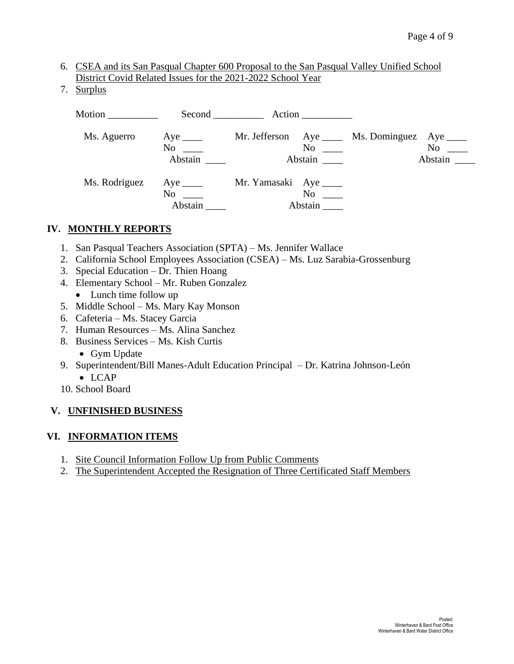- 6. CSEA and its San Pasqual Chapter 600 Proposal to the San Pasqual Valley Unified School District Covid Related Issues for the 2021-2022 School Year
- 7. Surplus

| Motion ___________ |                                         |                         |                      |                            |                                         |
|--------------------|-----------------------------------------|-------------------------|----------------------|----------------------------|-----------------------------------------|
| Ms. Aguerro        | $Aye$ <sub>_____</sub><br>No<br>Abstain | Mr. Jefferson           | No<br>Abstain        | Aye ________ Ms. Dominguez | $Aye$ <sub>_____</sub><br>No<br>Abstain |
| Ms. Rodriguez      | $Aye$ <sub>_____</sub><br>No<br>Abstain | Mr. Yamasaki Aye ______ | $No \ \_$<br>Abstain |                            |                                         |

## **IV. MONTHLY REPORTS**

- 1. San Pasqual Teachers Association (SPTA) Ms. Jennifer Wallace
- 2. California School Employees Association (CSEA) Ms. Luz Sarabia-Grossenburg
- 3. Special Education Dr. Thien Hoang
- 4. Elementary School Mr. Ruben Gonzalez
	- Lunch time follow up
- 5. Middle School Ms. Mary Kay Monson
- 6. Cafeteria Ms. Stacey Garcia
- 7. Human Resources Ms. Alina Sanchez
- 8. Business Services Ms. Kish Curtis
	- Gym Update
- 9. Superintendent/Bill Manes-Adult Education Principal Dr. Katrina Johnson-León
	- LCAP
- 10. School Board

## **V. UNFINISHED BUSINESS**

## **VI. INFORMATION ITEMS**

- 1. Site Council Information Follow Up from Public Comments
- 2. The Superintendent Accepted the Resignation of Three Certificated Staff Members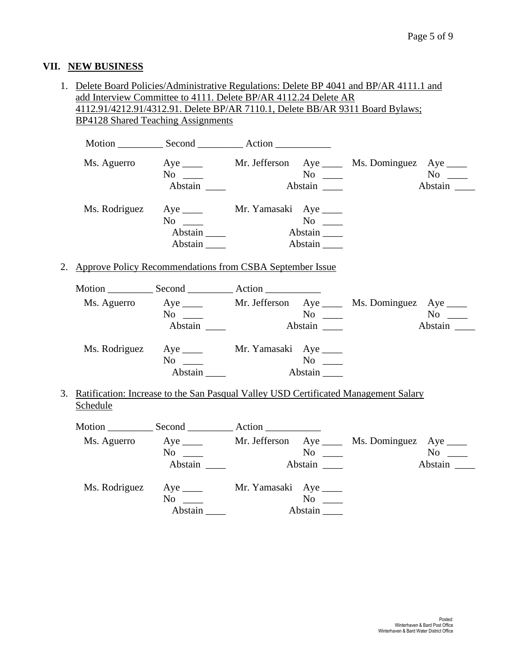## **VII. NEW BUSINESS**

| 1. Delete Board Policies/Administrative Regulations: Delete BP 4041 and BP/AR 4111.1 and |                                                                               |                        |           |               |               |  |
|------------------------------------------------------------------------------------------|-------------------------------------------------------------------------------|------------------------|-----------|---------------|---------------|--|
|                                                                                          | add Interview Committee to 4111. Delete BP/AR 4112.24 Delete AR               |                        |           |               |               |  |
|                                                                                          | 4112.91/4212.91/4312.91. Delete BP/AR 7110.1, Delete BB/AR 9311 Board Bylaws; |                        |           |               |               |  |
|                                                                                          | <b>BP4128 Shared Teaching Assignments</b>                                     |                        |           |               |               |  |
|                                                                                          |                                                                               |                        |           |               |               |  |
|                                                                                          |                                                                               |                        |           |               |               |  |
|                                                                                          | Ms. Aguerro Aye _____ Mr. Jefferson Aye _____ Ms. Dominguez Aye ____          |                        |           |               |               |  |
|                                                                                          | $No \ \_$                                                                     | $N$ o $\_\_$           |           | $N$ o         |               |  |
|                                                                                          | Abstain                                                                       | Abstain                |           |               | Abstain       |  |
|                                                                                          |                                                                               |                        |           |               |               |  |
|                                                                                          | Ms. Rodriguez Aye _____ Mr. Yamasaki Aye ____                                 |                        |           |               |               |  |
|                                                                                          | $No \_$                                                                       |                        |           |               |               |  |
|                                                                                          | Abstain                                                                       |                        |           |               |               |  |
|                                                                                          | Abstain $\_\_\_\$                                                             |                        |           |               |               |  |
|                                                                                          |                                                                               |                        |           |               |               |  |
| 2. Approve Policy Recommendations from CSBA September Issue                              |                                                                               |                        |           |               |               |  |
|                                                                                          |                                                                               |                        |           |               |               |  |
|                                                                                          |                                                                               |                        |           |               |               |  |
|                                                                                          | Ms. Aguerro Aye _____ Mr. Jefferson Aye _____ Ms. Dominguez Aye ____          |                        |           |               |               |  |
|                                                                                          |                                                                               |                        |           |               |               |  |
|                                                                                          | Abstain                                                                       |                        |           |               | Abstain       |  |
|                                                                                          |                                                                               |                        |           |               |               |  |
|                                                                                          | Ms. Rodriguez Aye _____ Mr. Yamasaki Aye ____                                 |                        |           |               |               |  |
|                                                                                          | $No \ \_$                                                                     |                        |           |               |               |  |
|                                                                                          | Abstain                                                                       |                        | Abstain   |               |               |  |
|                                                                                          |                                                                               |                        |           |               |               |  |
| 3. Ratification: Increase to the San Pasqual Valley USD Certificated Management Salary   |                                                                               |                        |           |               |               |  |
| Schedule                                                                                 |                                                                               |                        |           |               |               |  |
|                                                                                          |                                                                               |                        |           |               |               |  |
|                                                                                          | Ms. Aguerro Aye _____ Mr. Jefferson Aye ____ Ms. Dominguez Aye ____           |                        |           |               |               |  |
|                                                                                          | $No \ \_\_$                                                                   |                        |           |               | No            |  |
|                                                                                          | Abstain                                                                       |                        | Abstain   | $No \ \ \_\_$ | $\frac{1}{1}$ |  |
|                                                                                          |                                                                               |                        |           |               |               |  |
| Ms. Rodriguez                                                                            | $Aye$ <sub>____</sub>                                                         | Mr. Yamasaki Aye _____ |           |               |               |  |
|                                                                                          | $No \ \_$                                                                     |                        | $No \ \_$ |               |               |  |
|                                                                                          | Abstain                                                                       |                        | Abstain   |               |               |  |
|                                                                                          |                                                                               |                        |           |               |               |  |
|                                                                                          |                                                                               |                        |           |               |               |  |
|                                                                                          |                                                                               |                        |           |               |               |  |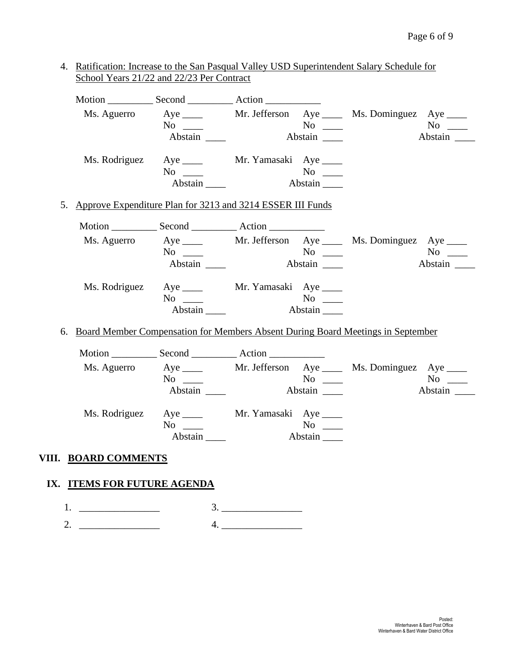|    | Ms. Aguerro                                                                     | $No \ \_$<br>Abstain                                                                                                                                                                                                                                                                                            | $\overline{N_0}$ $\overline{\phantom{0}}$<br>Abstain $\_\_\_\_\$ | Aye ______ Mr. Jefferson Aye _____ Ms. Dominguez Aye ____ | $No \_$              |
|----|---------------------------------------------------------------------------------|-----------------------------------------------------------------------------------------------------------------------------------------------------------------------------------------------------------------------------------------------------------------------------------------------------------------|------------------------------------------------------------------|-----------------------------------------------------------|----------------------|
|    |                                                                                 | Ms. Rodriguez Aye _____ Mr. Yamasaki Aye ____<br>$No \ \_$<br>Abstain                                                                                                                                                                                                                                           | Abstain                                                          |                                                           |                      |
| 5. | Approve Expenditure Plan for 3213 and 3214 ESSER III Funds                      |                                                                                                                                                                                                                                                                                                                 |                                                                  |                                                           |                      |
|    |                                                                                 |                                                                                                                                                                                                                                                                                                                 |                                                                  |                                                           |                      |
|    |                                                                                 | Ms. Aguerro Aye _____ Mr. Jefferson Aye ____ Ms. Dominguez Aye ____<br>No note that the set of the set of the set of the set of the set of the set of the set of the set of the set of the set of the set of the set of the set of the set of the set of the set of the set of the set of the set of<br>Abstain |                                                                  |                                                           | $No \_$              |
|    |                                                                                 | Ms. Rodriguez Aye _____ Mr. Yamasaki Aye ____<br>$No \_\_$<br>Abstain                                                                                                                                                                                                                                           | Abstain                                                          |                                                           |                      |
| 6. | Board Member Compensation for Members Absent During Board Meetings in September |                                                                                                                                                                                                                                                                                                                 |                                                                  |                                                           |                      |
|    |                                                                                 |                                                                                                                                                                                                                                                                                                                 |                                                                  |                                                           |                      |
|    | Ms. Aguerro                                                                     | $No \_$<br>Abstain                                                                                                                                                                                                                                                                                              | $\overline{N_0}$ $\overline{\phantom{0}}$<br>Abstain             | Aye ______ Mr. Jefferson Aye _____ Ms. Dominguez Aye ____ | $No \ \_$<br>Abstain |
|    |                                                                                 | Ms. Rodriguez Aye _____ Mr. Yamasaki Aye ____<br>No $\_\_$                                                                                                                                                                                                                                                      | $No \ \_$                                                        |                                                           |                      |
|    | VIII. BOARD COMMENTS                                                            |                                                                                                                                                                                                                                                                                                                 |                                                                  |                                                           |                      |
|    | IX. ITEMS FOR FUTURE AGENDA                                                     |                                                                                                                                                                                                                                                                                                                 |                                                                  |                                                           |                      |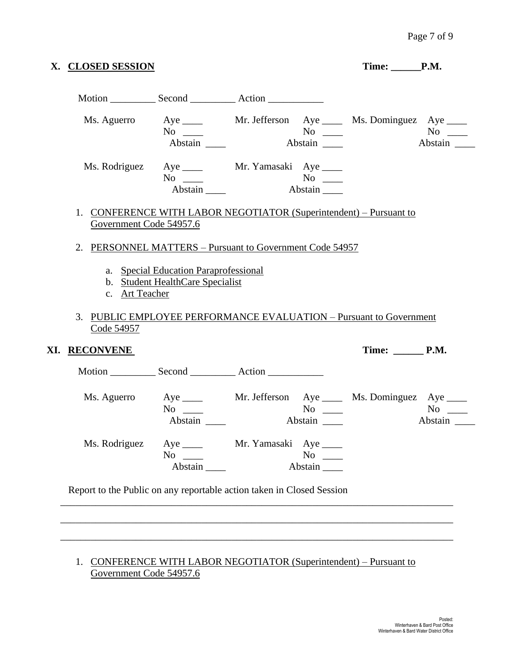|                                                                                               | X. CLOSED SESSION                                                                         |                  |                      | Time: P.M. |                                                      |
|-----------------------------------------------------------------------------------------------|-------------------------------------------------------------------------------------------|------------------|----------------------|------------|------------------------------------------------------|
|                                                                                               |                                                                                           |                  |                      |            |                                                      |
|                                                                                               | Ms. Aguerro Aye ____ Mr. Jefferson Aye ____ Ms. Dominguez Aye ___<br>$No \ \_$<br>Abstain |                  | Abstain              |            | Abstain                                              |
|                                                                                               | Ms. Rodriguez Aye _____ Mr. Yamasaki Aye ____<br>$No \ \_$<br>Abstain                     |                  | Abstain              |            |                                                      |
| 1. CONFERENCE WITH LABOR NEGOTIATOR (Superintendent) – Pursuant to<br>Government Code 54957.6 |                                                                                           |                  |                      |            |                                                      |
| 2. PERSONNEL MATTERS – Pursuant to Government Code 54957                                      |                                                                                           |                  |                      |            |                                                      |
| c. Art Teacher                                                                                | b. Student HealthCare Specialist                                                          |                  |                      |            |                                                      |
| 3. PUBLIC EMPLOYEE PERFORMANCE EVALUATION – Pursuant to Government<br>Code 54957              |                                                                                           |                  |                      |            |                                                      |
| XI. <u>RECONVENE</u>                                                                          |                                                                                           |                  |                      | Time: P.M. |                                                      |
|                                                                                               |                                                                                           |                  |                      |            |                                                      |
|                                                                                               | Ms. Aguerro Aye ____ Mr. Jefferson Aye ____ Ms. Dominguez Aye ___<br>$No \_$<br>Abstain   |                  | $No \ \_$<br>Abstain |            |                                                      |
| Ms. Rodriguez                                                                                 | $Aye$ <sub>____</sub><br>$No \ \_$<br>Abstain                                             | Mr. Yamasaki Aye | $No \ \_$<br>Abstain |            |                                                      |
| Report to the Public on any reportable action taken in Closed Session                         |                                                                                           |                  |                      |            | No not be a set of $\mathbf{N}\mathbf{o}$<br>Abstain |

1. CONFERENCE WITH LABOR NEGOTIATOR (Superintendent) – Pursuant to Government Code 54957.6

\_\_\_\_\_\_\_\_\_\_\_\_\_\_\_\_\_\_\_\_\_\_\_\_\_\_\_\_\_\_\_\_\_\_\_\_\_\_\_\_\_\_\_\_\_\_\_\_\_\_\_\_\_\_\_\_\_\_\_\_\_\_\_\_\_\_\_\_\_\_\_\_\_\_\_\_\_\_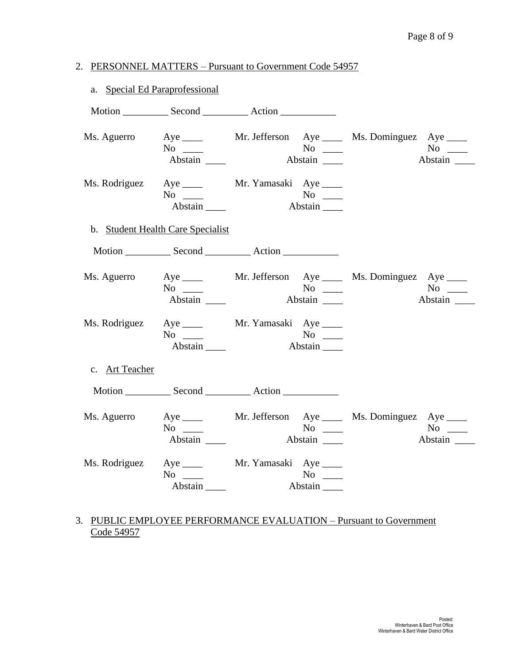## 2. PERSONNEL MATTERS – Pursuant to Government Code 54957

|                | a. Special Ed Paraprofessional                                                    |         |                                          |                      |
|----------------|-----------------------------------------------------------------------------------|---------|------------------------------------------|----------------------|
|                |                                                                                   |         |                                          |                      |
| Ms. Aguerro    | Aye ______ Mr. Jefferson Aye _____ Ms. Dominguez Aye ____<br>$No \ \_$<br>Abstain |         | $No \ \_$<br>Abstain                     | $No \_$<br>Abstain   |
|                | Ms. Rodriguez Aye _____ Mr. Yamasaki Aye ____<br>$No \_\_$<br>Abstain             |         | $No \ \_$<br>Abstain                     |                      |
|                | b. Student Health Care Specialist                                                 |         |                                          |                      |
|                |                                                                                   |         |                                          |                      |
| Ms. Aguerro    | $No \ \_$<br>Abstain                                                              |         | $No \ \_$<br>Abstain                     | $No \_$<br>Abstain   |
|                | Ms. Rodriguez Aye _____ Mr. Yamasaki Aye ____<br>$No \ \_$<br>Abstain             |         | $No \ \_$<br>$\overline{\text{Abstain}}$ |                      |
| c. Art Teacher |                                                                                   |         |                                          |                      |
|                |                                                                                   |         |                                          |                      |
| Ms. Aguerro    | Aye ______ Mr. Jefferson Aye _____ Ms. Dominguez Aye ____<br>$No \ \_$<br>Abstain | Abstain | No $\qquad$                              | $No \ \_$<br>Abstain |
|                | Ms. Rodriguez Aye _____ Mr. Yamasaki Aye ____<br>$No \ \_$<br>Abstain             |         | $No \ \_$<br>$\frac{1}{\text{Abstain}}$  |                      |

## 3. PUBLIC EMPLOYEE PERFORMANCE EVALUATION – Pursuant to Government Code 54957